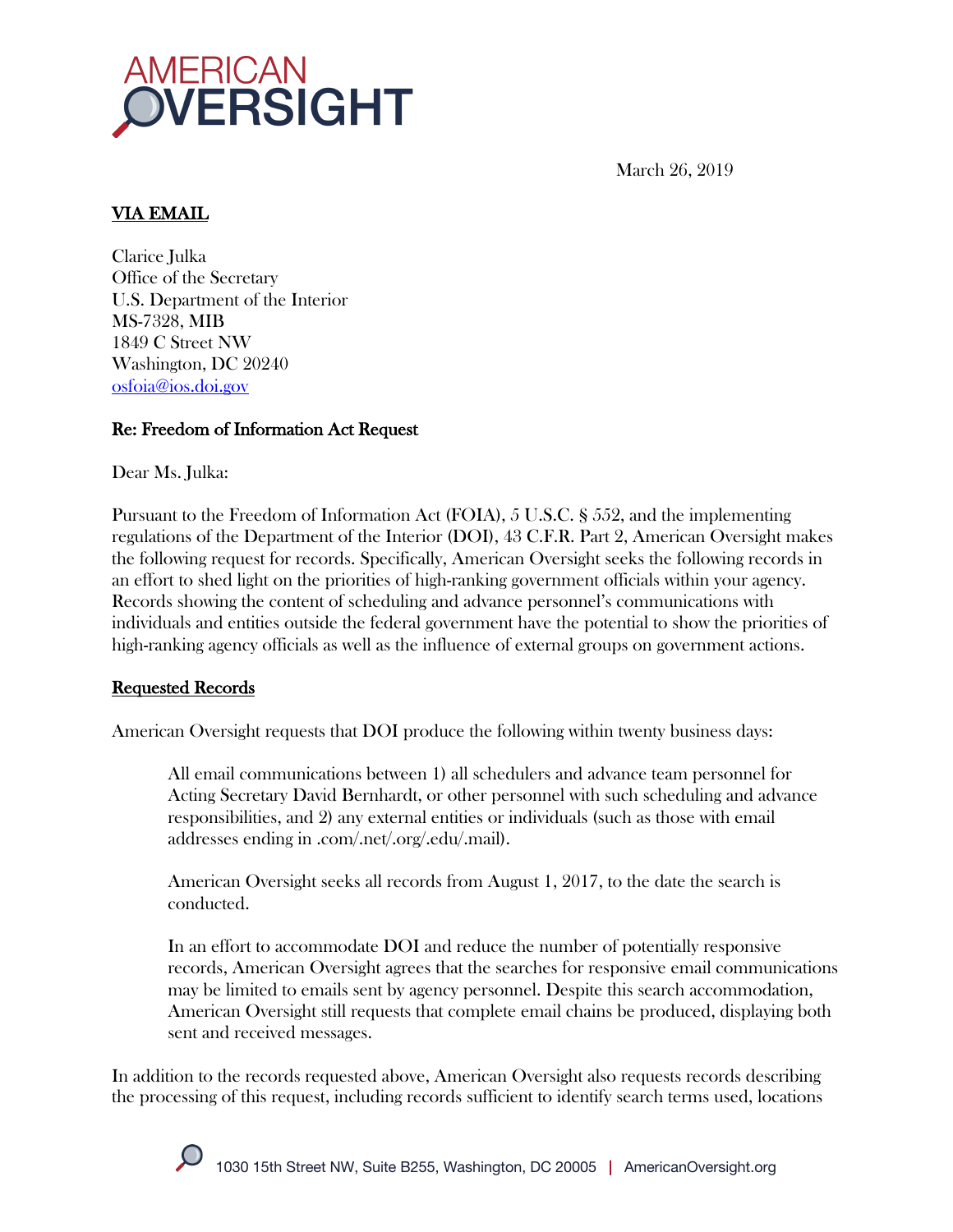

March 26, 2019

# VIA EMAIL

Clarice Julka Office of the Secretary U.S. Department of the Interior MS-7328, MIB 1849 C Street NW Washington, DC 20240 osfoia@ios.doi.gov

## Re: Freedom of Information Act Request

Dear Ms. Julka:

Pursuant to the Freedom of Information Act (FOIA), 5 U.S.C. § 552, and the implementing regulations of the Department of the Interior (DOI), 43 C.F.R. Part 2, American Oversight makes the following request for records. Specifically, American Oversight seeks the following records in an effort to shed light on the priorities of high-ranking government officials within your agency. Records showing the content of scheduling and advance personnel's communications with individuals and entities outside the federal government have the potential to show the priorities of high-ranking agency officials as well as the influence of external groups on government actions.

### Requested Records

American Oversight requests that DOI produce the following within twenty business days:

All email communications between 1) all schedulers and advance team personnel for Acting Secretary David Bernhardt, or other personnel with such scheduling and advance responsibilities, and 2) any external entities or individuals (such as those with email addresses ending in .com/.net/.org/.edu/.mail).

American Oversight seeks all records from August 1, 2017, to the date the search is conducted.

In an effort to accommodate DOI and reduce the number of potentially responsive records, American Oversight agrees that the searches for responsive email communications may be limited to emails sent by agency personnel. Despite this search accommodation, American Oversight still requests that complete email chains be produced, displaying both sent and received messages.

In addition to the records requested above, American Oversight also requests records describing the processing of this request, including records sufficient to identify search terms used, locations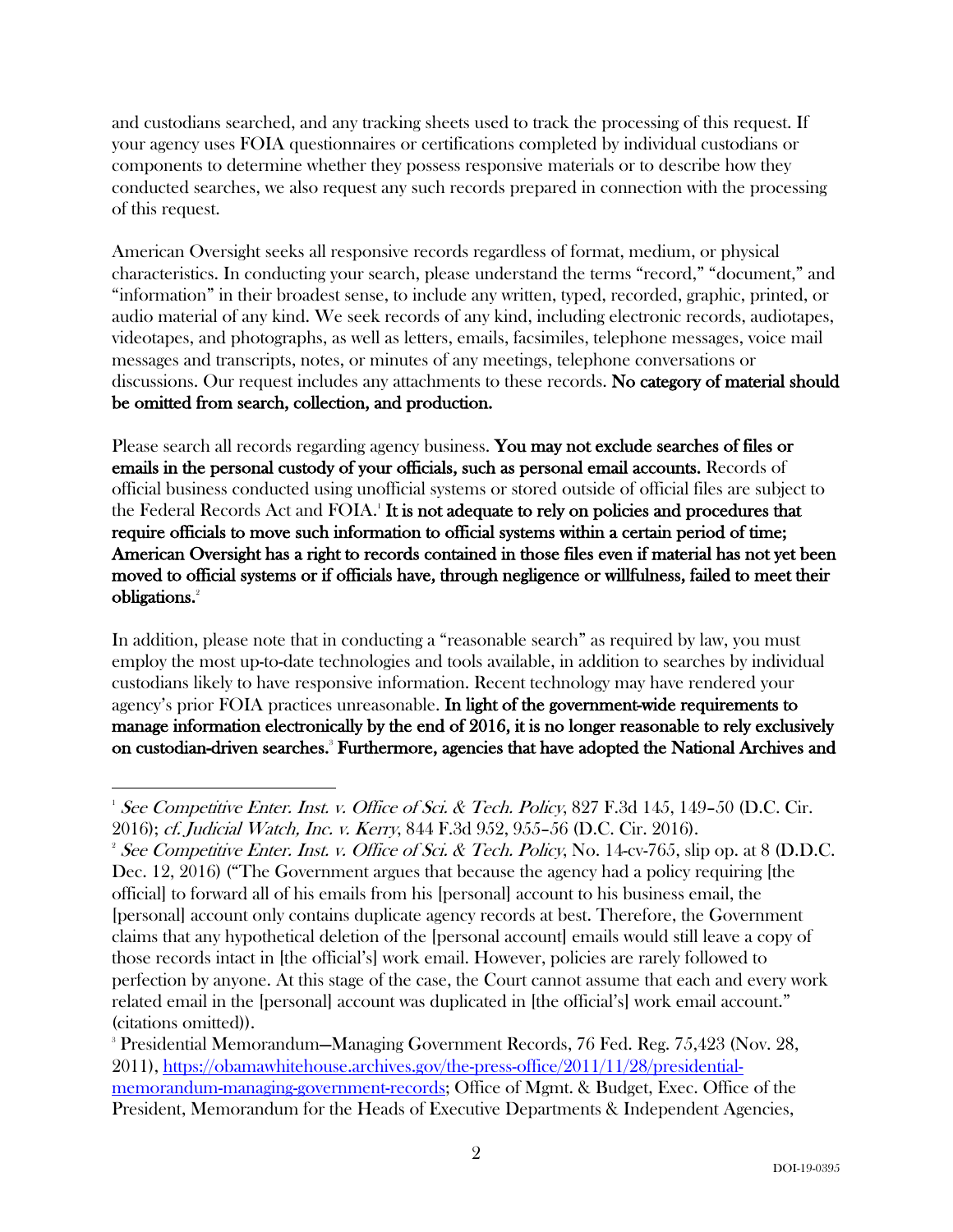and custodians searched, and any tracking sheets used to track the processing of this request. If your agency uses FOIA questionnaires or certifications completed by individual custodians or components to determine whether they possess responsive materials or to describe how they conducted searches, we also request any such records prepared in connection with the processing of this request.

American Oversight seeks all responsive records regardless of format, medium, or physical characteristics. In conducting your search, please understand the terms "record," "document," and "information" in their broadest sense, to include any written, typed, recorded, graphic, printed, or audio material of any kind. We seek records of any kind, including electronic records, audiotapes, videotapes, and photographs, as well as letters, emails, facsimiles, telephone messages, voice mail messages and transcripts, notes, or minutes of any meetings, telephone conversations or discussions. Our request includes any attachments to these records. No category of material should be omitted from search, collection, and production.

Please search all records regarding agency business. You may not exclude searches of files or emails in the personal custody of your officials, such as personal email accounts. Records of official business conducted using unofficial systems or stored outside of official files are subject to the Federal Records Act and FOIA.<sup>1</sup> It is not adequate to rely on policies and procedures that require officials to move such information to official systems within a certain period of time; American Oversight has a right to records contained in those files even if material has not yet been moved to official systems or if officials have, through negligence or willfulness, failed to meet their obligations.<sup>2</sup>

In addition, please note that in conducting a "reasonable search" as required by law, you must employ the most up-to-date technologies and tools available, in addition to searches by individual custodians likely to have responsive information. Recent technology may have rendered your agency's prior FOIA practices unreasonable. In light of the government-wide requirements to manage information electronically by the end of 2016, it is no longer reasonable to rely exclusively on custodian-driven searches.<sup>3</sup> Furthermore, agencies that have adopted the National Archives and

 $\frac{1}{1}$ <sup>1</sup> See Competitive Enter. Inst. v. Office of Sci. & Tech. Policy, 827 F.3d 145, 149–50 (D.C. Cir. 2016); cf. Judicial Watch, Inc. v. Kerry, 844 F.3d 952, 955–56 (D.C. Cir. 2016). 2

<sup>&</sup>lt;sup>2</sup> See Competitive Enter. Inst. v. Office of Sci. & Tech. Policy, No. 14-cv-765, slip op. at 8 (D.D.C. Dec. 12, 2016) ("The Government argues that because the agency had a policy requiring [the official] to forward all of his emails from his [personal] account to his business email, the [personal] account only contains duplicate agency records at best. Therefore, the Government claims that any hypothetical deletion of the [personal account] emails would still leave a copy of those records intact in [the official's] work email. However, policies are rarely followed to perfection by anyone. At this stage of the case, the Court cannot assume that each and every work related email in the [personal] account was duplicated in [the official's] work email account." (citations omitted)).

<sup>3</sup> Presidential Memorandum—Managing Government Records, 76 Fed. Reg. 75,423 (Nov. 28, 2011), https://obamawhitehouse.archives.gov/the-press-office/2011/11/28/presidentialmemorandum-managing-government-records; Office of Mgmt. & Budget, Exec. Office of the President, Memorandum for the Heads of Executive Departments & Independent Agencies,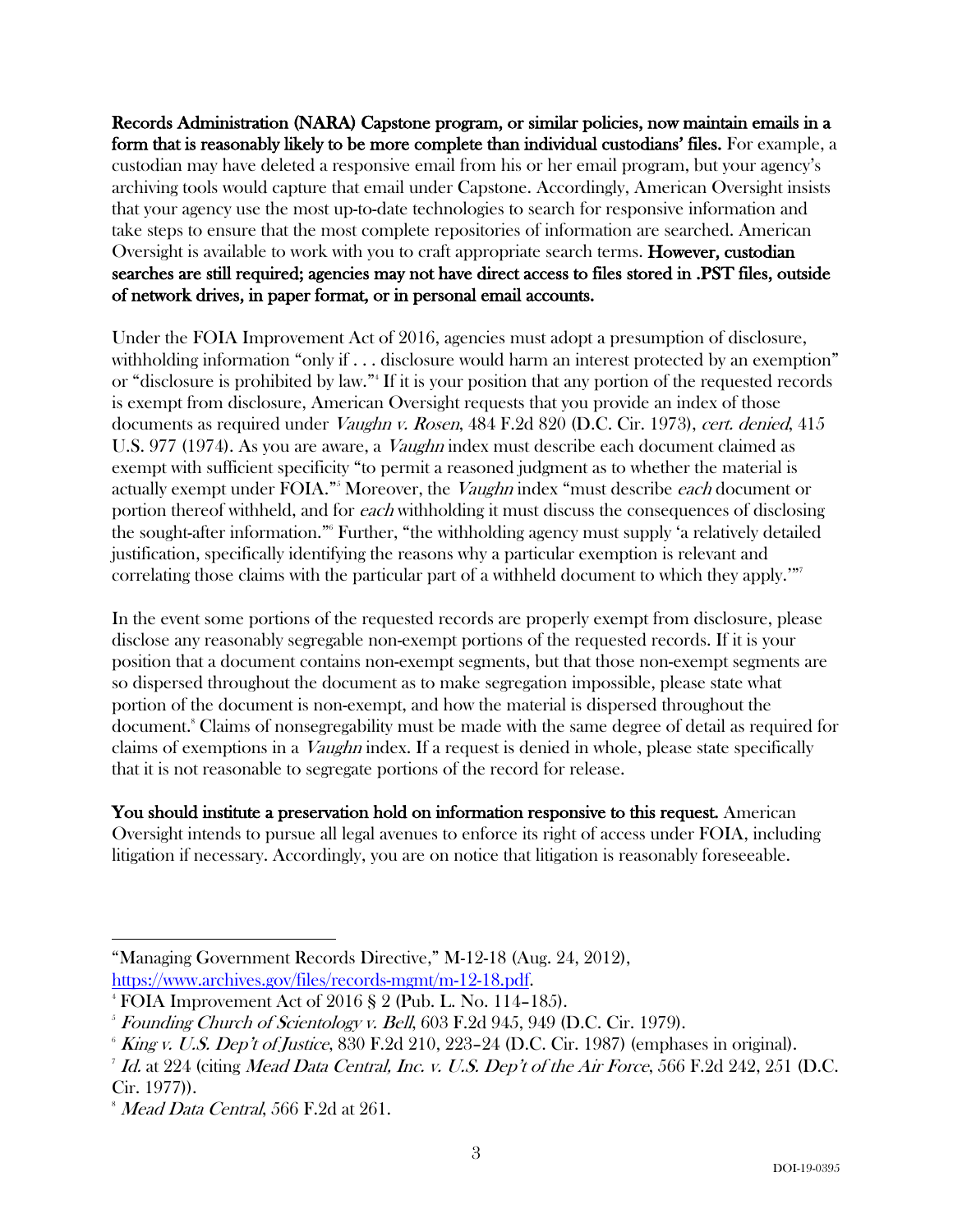Records Administration (NARA) Capstone program, or similar policies, now maintain emails in a form that is reasonably likely to be more complete than individual custodians' files. For example, a custodian may have deleted a responsive email from his or her email program, but your agency's archiving tools would capture that email under Capstone. Accordingly, American Oversight insists that your agency use the most up-to-date technologies to search for responsive information and take steps to ensure that the most complete repositories of information are searched. American Oversight is available to work with you to craft appropriate search terms. **However, custodian** searches are still required; agencies may not have direct access to files stored in .PST files, outside of network drives, in paper format, or in personal email accounts.

Under the FOIA Improvement Act of 2016, agencies must adopt a presumption of disclosure, withholding information "only if . . . disclosure would harm an interest protected by an exemption" or "disclosure is prohibited by law."4 If it is your position that any portion of the requested records is exempt from disclosure, American Oversight requests that you provide an index of those documents as required under *Vaughn v. Rosen*, 484 F.2d 820 (D.C. Cir. 1973), cert. denied, 415 U.S. 977 (1974). As you are aware, a *Vaughn* index must describe each document claimed as exempt with sufficient specificity "to permit a reasoned judgment as to whether the material is actually exempt under FOIA."<sup>5</sup> Moreover, the *Vaughn* index "must describe *each* document or portion thereof withheld, and for each withholding it must discuss the consequences of disclosing the sought-after information."6 Further, "the withholding agency must supply 'a relatively detailed justification, specifically identifying the reasons why a particular exemption is relevant and correlating those claims with the particular part of a withheld document to which they apply.""7

In the event some portions of the requested records are properly exempt from disclosure, please disclose any reasonably segregable non-exempt portions of the requested records. If it is your position that a document contains non-exempt segments, but that those non-exempt segments are so dispersed throughout the document as to make segregation impossible, please state what portion of the document is non-exempt, and how the material is dispersed throughout the document.<sup>8</sup> Claims of nonsegregability must be made with the same degree of detail as required for claims of exemptions in a Vaughn index. If a request is denied in whole, please state specifically that it is not reasonable to segregate portions of the record for release.

You should institute a preservation hold on information responsive to this request. American Oversight intends to pursue all legal avenues to enforce its right of access under FOIA, including litigation if necessary. Accordingly, you are on notice that litigation is reasonably foreseeable.

 $\overline{a}$ "Managing Government Records Directive," M-12-18 (Aug. 24, 2012), https://www.archives.gov/files/records-mgmt/m-12-18.pdf. 4 FOIA Improvement Act of 2016 § 2 (Pub. L. No. 114–185).

<sup>&</sup>lt;sup>5</sup> Founding Church of Scientology v. Bell, 603 F.2d 945, 949 (D.C. Cir. 1979).

 $6$  King v. U.S. Dep't of Justice, 830 F.2d 210, 223–24 (D.C. Cir. 1987) (emphases in original).

 $^7$  Id. at  $224$  (citing Mead Data Central, Inc. v. U.S. Dep't of the Air Force, 566 F.2d 242, 251 (D.C. Cir. 1977)).

 $^{\circ}$  *Mead Data Central,* 566 F.2d at 261.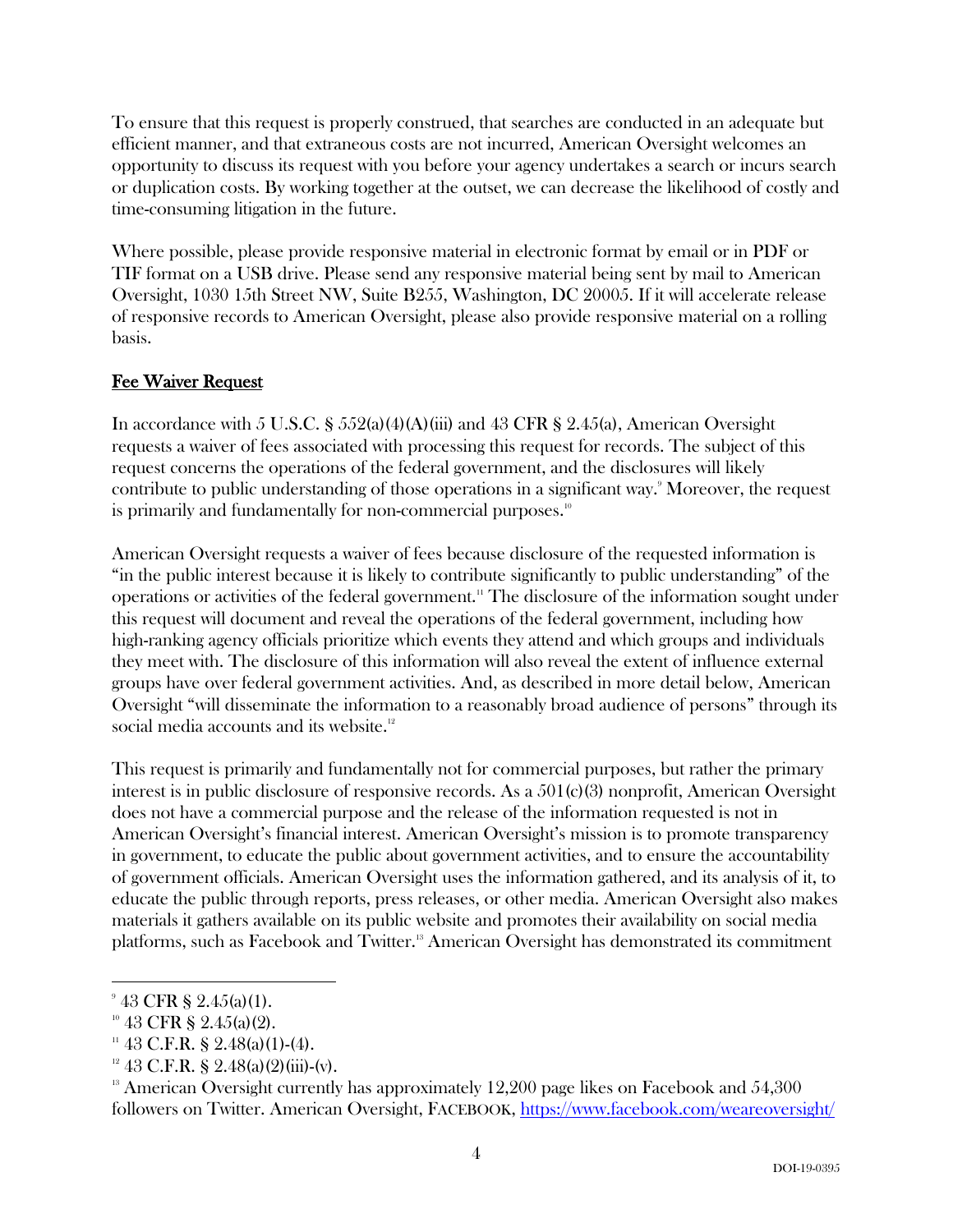To ensure that this request is properly construed, that searches are conducted in an adequate but efficient manner, and that extraneous costs are not incurred, American Oversight welcomes an opportunity to discuss its request with you before your agency undertakes a search or incurs search or duplication costs. By working together at the outset, we can decrease the likelihood of costly and time-consuming litigation in the future.

Where possible, please provide responsive material in electronic format by email or in PDF or TIF format on a USB drive. Please send any responsive material being sent by mail to American Oversight, 1030 15th Street NW, Suite B255, Washington, DC 20005. If it will accelerate release of responsive records to American Oversight, please also provide responsive material on a rolling basis.

### Fee Waiver Request

In accordance with 5 U.S.C.  $\S 552(a)(4)(A)(iii)$  and 43 CFR  $\S 2.45(a)$ , American Oversight requests a waiver of fees associated with processing this request for records. The subject of this request concerns the operations of the federal government, and the disclosures will likely contribute to public understanding of those operations in a significant way. 9 Moreover, the request is primarily and fundamentally for non-commercial purposes.<sup>10</sup>

American Oversight requests a waiver of fees because disclosure of the requested information is "in the public interest because it is likely to contribute significantly to public understanding" of the operations or activities of the federal government. <sup>11</sup> The disclosure of the information sought under this request will document and reveal the operations of the federal government, including how high-ranking agency officials prioritize which events they attend and which groups and individuals they meet with. The disclosure of this information will also reveal the extent of influence external groups have over federal government activities. And, as described in more detail below, American Oversight "will disseminate the information to a reasonably broad audience of persons" through its social media accounts and its website.<sup>12</sup>

This request is primarily and fundamentally not for commercial purposes, but rather the primary interest is in public disclosure of responsive records. As a 501(c)(3) nonprofit, American Oversight does not have a commercial purpose and the release of the information requested is not in American Oversight's financial interest. American Oversight's mission is to promote transparency in government, to educate the public about government activities, and to ensure the accountability of government officials. American Oversight uses the information gathered, and its analysis of it, to educate the public through reports, press releases, or other media. American Oversight also makes materials it gathers available on its public website and promotes their availability on social media platforms, such as Facebook and Twitter.<sup>13</sup> American Oversight has demonstrated its commitment

 $943$  CFR § 2.45(a)(1).

<sup>&</sup>lt;sup>10</sup> 43 **CFR** § 2.45(a)(2).<br><sup>11</sup> 43 **C.F.R**. § 2.48(a)(1)-(4).<br><sup>12</sup> 43 **C.F.R.** § 2.48(a)(2)(iii)-(v).<br><sup>13</sup> American Oversight currently has approximately 12,200 page likes on Facebook and 54,300 followers on Twitter. American Oversight, FACEBOOK, https://www.facebook.com/weareoversight/